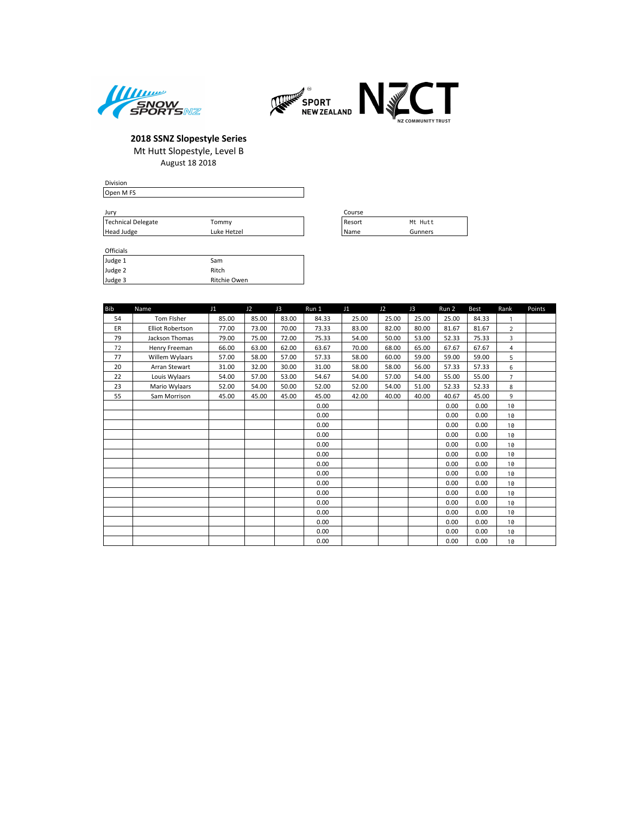



| Division                 |    |        |
|--------------------------|----|--------|
| Open M FS                |    |        |
|                          |    |        |
| Jury                     |    | Course |
| $-1$ $-1$ $-1$ $-1$ $-1$ | __ | . .    |

| Jurv               |             |  | Course |         |
|--------------------|-------------|--|--------|---------|
| Technical Delegate | fommy       |  | Resort | Mt Hutt |
| Head Judge         | Luke Hetzel |  | Name   | Gunners |

#### Officials

| Judge 1 | Sam          |
|---------|--------------|
| Judge 2 | Ritch        |
| Judge 3 | Ritchie Owen |

| <b>Bib</b> | Name                    | J1    | J2    | J3    | Run 1 | J1    | J2    | J3    | Run 2 | <b>Best</b> | Rank           | Points |
|------------|-------------------------|-------|-------|-------|-------|-------|-------|-------|-------|-------------|----------------|--------|
| 54         | Tom Fisher              | 85.00 | 85.00 | 83.00 | 84.33 | 25.00 | 25.00 | 25.00 | 25.00 | 84.33       | 1              |        |
| ER         | <b>Elliot Robertson</b> | 77.00 | 73.00 | 70.00 | 73.33 | 83.00 | 82.00 | 80.00 | 81.67 | 81.67       | 2              |        |
| 79         | Jackson Thomas          | 79.00 | 75.00 | 72.00 | 75.33 | 54.00 | 50.00 | 53.00 | 52.33 | 75.33       | 3              |        |
| 72         | Henry Freeman           | 66.00 | 63.00 | 62.00 | 63.67 | 70.00 | 68.00 | 65.00 | 67.67 | 67.67       | $\overline{4}$ |        |
| 77         | Willem Wylaars          | 57.00 | 58.00 | 57.00 | 57.33 | 58.00 | 60.00 | 59.00 | 59.00 | 59.00       | 5              |        |
| 20         | Arran Stewart           | 31.00 | 32.00 | 30.00 | 31.00 | 58.00 | 58.00 | 56.00 | 57.33 | 57.33       | 6              |        |
| 22         | Louis Wylaars           | 54.00 | 57.00 | 53.00 | 54.67 | 54.00 | 57.00 | 54.00 | 55.00 | 55.00       | $\overline{7}$ |        |
| 23         | Mario Wylaars           | 52.00 | 54.00 | 50.00 | 52.00 | 52.00 | 54.00 | 51.00 | 52.33 | 52.33       | 8              |        |
| 55         | Sam Morrison            | 45.00 | 45.00 | 45.00 | 45.00 | 42.00 | 40.00 | 40.00 | 40.67 | 45.00       | 9              |        |
|            |                         |       |       |       | 0.00  |       |       |       | 0.00  | 0.00        | 10             |        |
|            |                         |       |       |       | 0.00  |       |       |       | 0.00  | 0.00        | 10             |        |
|            |                         |       |       |       | 0.00  |       |       |       | 0.00  | 0.00        | 10             |        |
|            |                         |       |       |       | 0.00  |       |       |       | 0.00  | 0.00        | 10             |        |
|            |                         |       |       |       | 0.00  |       |       |       | 0.00  | 0.00        | 10             |        |
|            |                         |       |       |       | 0.00  |       |       |       | 0.00  | 0.00        | 10             |        |
|            |                         |       |       |       | 0.00  |       |       |       | 0.00  | 0.00        | 10             |        |
|            |                         |       |       |       | 0.00  |       |       |       | 0.00  | 0.00        | 10             |        |
|            |                         |       |       |       | 0.00  |       |       |       | 0.00  | 0.00        | 10             |        |
|            |                         |       |       |       | 0.00  |       |       |       | 0.00  | 0.00        | 10             |        |
|            |                         |       |       |       | 0.00  |       |       |       | 0.00  | 0.00        | 10             |        |
|            |                         |       |       |       | 0.00  |       |       |       | 0.00  | 0.00        | 10             |        |
|            |                         |       |       |       | 0.00  |       |       |       | 0.00  | 0.00        | 10             |        |
|            |                         |       |       |       | 0.00  |       |       |       | 0.00  | 0.00        | 10             |        |
|            |                         |       |       |       | 0.00  |       |       |       | 0.00  | 0.00        | 10             |        |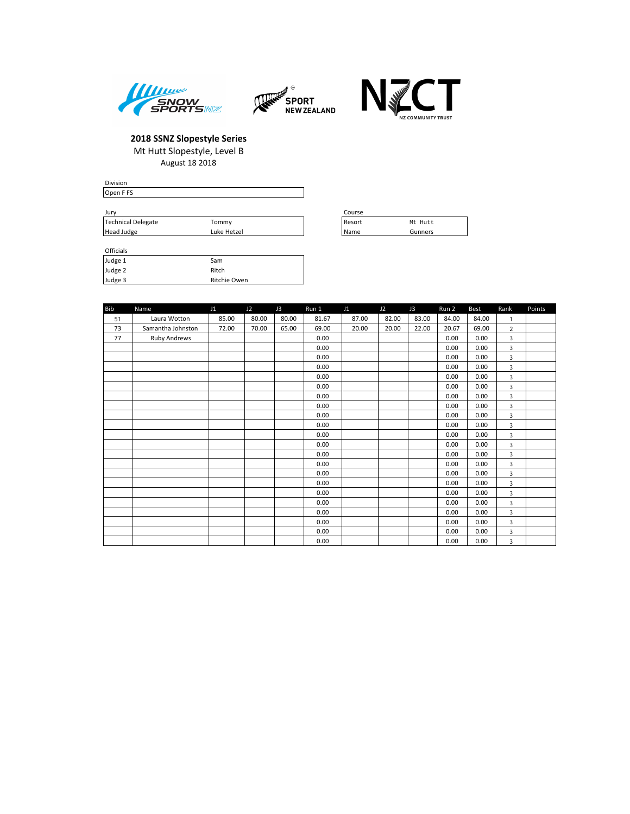





| Division  |  |        |
|-----------|--|--------|
| Open F FS |  |        |
|           |  |        |
| Jury      |  | Course |

| <b>JUIV</b>        |             | ----   |         |
|--------------------|-------------|--------|---------|
| Technical Delegate | Tommy       | Resort | Mt Hutt |
| Head Judge         | Luke Hetzel | Name   | Gunners |

| Course |         |
|--------|---------|
| Resort | Mt Hutt |
| Name   | Gunners |

# Officials

| Judge 1 | Sam          |
|---------|--------------|
| Judge 2 | Ritch        |
| Judge 3 | Ritchie Owen |

| <b>Bib</b> | Name              | J1    | J2    | J3    | Run 1 | J1    | J2    | J3    | Run 2 | Best  | Rank           | Points |
|------------|-------------------|-------|-------|-------|-------|-------|-------|-------|-------|-------|----------------|--------|
| 51         | Laura Wotton      | 85.00 | 80.00 | 80.00 | 81.67 | 87.00 | 82.00 | 83.00 | 84.00 | 84.00 | 1              |        |
| 73         | Samantha Johnston | 72.00 | 70.00 | 65.00 | 69.00 | 20.00 | 20.00 | 22.00 | 20.67 | 69.00 | $\overline{2}$ |        |
| 77         | Ruby Andrews      |       |       |       | 0.00  |       |       |       | 0.00  | 0.00  | 3              |        |
|            |                   |       |       |       | 0.00  |       |       |       | 0.00  | 0.00  | 3              |        |
|            |                   |       |       |       | 0.00  |       |       |       | 0.00  | 0.00  | 3              |        |
|            |                   |       |       |       | 0.00  |       |       |       | 0.00  | 0.00  | 3              |        |
|            |                   |       |       |       | 0.00  |       |       |       | 0.00  | 0.00  | 3              |        |
|            |                   |       |       |       | 0.00  |       |       |       | 0.00  | 0.00  | 3              |        |
|            |                   |       |       |       | 0.00  |       |       |       | 0.00  | 0.00  | 3              |        |
|            |                   |       |       |       | 0.00  |       |       |       | 0.00  | 0.00  | 3              |        |
|            |                   |       |       |       | 0.00  |       |       |       | 0.00  | 0.00  | 3              |        |
|            |                   |       |       |       | 0.00  |       |       |       | 0.00  | 0.00  | 3              |        |
|            |                   |       |       |       | 0.00  |       |       |       | 0.00  | 0.00  | 3              |        |
|            |                   |       |       |       | 0.00  |       |       |       | 0.00  | 0.00  | 3              |        |
|            |                   |       |       |       | 0.00  |       |       |       | 0.00  | 0.00  | 3              |        |
|            |                   |       |       |       | 0.00  |       |       |       | 0.00  | 0.00  | 3              |        |
|            |                   |       |       |       | 0.00  |       |       |       | 0.00  | 0.00  | 3              |        |
|            |                   |       |       |       | 0.00  |       |       |       | 0.00  | 0.00  | 3              |        |
|            |                   |       |       |       | 0.00  |       |       |       | 0.00  | 0.00  | 3              |        |
|            |                   |       |       |       | 0.00  |       |       |       | 0.00  | 0.00  | 3              |        |
|            |                   |       |       |       | 0.00  |       |       |       | 0.00  | 0.00  | 3              |        |
|            |                   |       |       |       | 0.00  |       |       |       | 0.00  | 0.00  | 3              |        |
|            |                   |       |       |       | 0.00  |       |       |       | 0.00  | 0.00  | 3              |        |
|            |                   |       |       |       | 0.00  |       |       |       | 0.00  | 0.00  | 3              |        |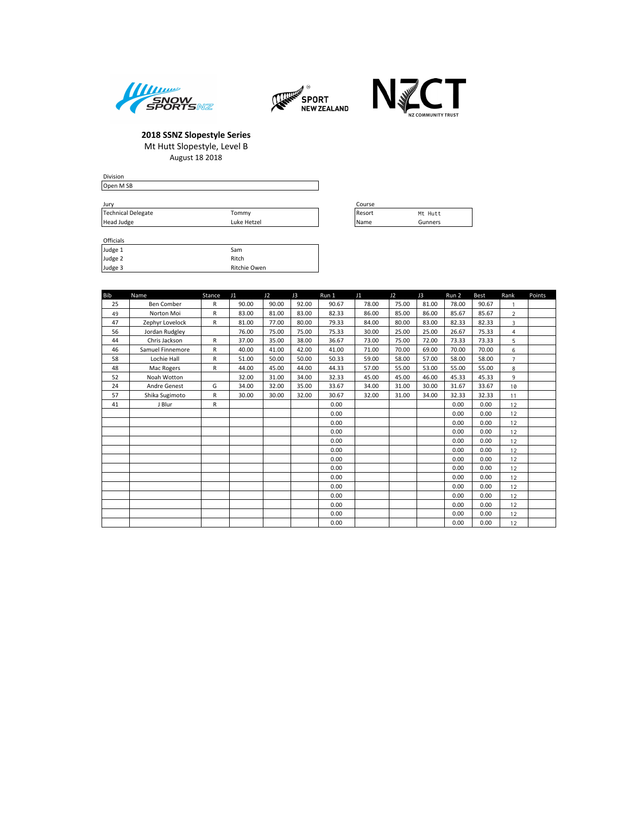





| Division                  |             |             |         |
|---------------------------|-------------|-------------|---------|
| Open M SB                 |             |             |         |
|                           |             |             |         |
| Jury                      |             | Course      |         |
| <b>Technical Delegate</b> | Tommy       | Resort      | Mt Hutt |
| Head Judge                | Luke Hetzel | <b>Name</b> | Gunners |

| Officials |              |
|-----------|--------------|
| Judge 1   | Sam          |
| Judge 2   | Ritch        |
| Judge 3   | Ritchie Owen |

| ourse |         |
|-------|---------|
| esort | Mt Hutt |
| lame  | Gunners |

| <b>Bib</b> | Name             | Stance | J1    | J2    | J3    | Run 1 | J1    | J2    | J3    | Run 2 | Best  | Rank           | Points |
|------------|------------------|--------|-------|-------|-------|-------|-------|-------|-------|-------|-------|----------------|--------|
| 25         | Ben Comber       | R      | 90.00 | 90.00 | 92.00 | 90.67 | 78.00 | 75.00 | 81.00 | 78.00 | 90.67 | 1              |        |
| 49         | Norton Moi       | R      | 83.00 | 81.00 | 83.00 | 82.33 | 86.00 | 85.00 | 86.00 | 85.67 | 85.67 | $\overline{a}$ |        |
| 47         | Zephyr Lovelock  | R      | 81.00 | 77.00 | 80.00 | 79.33 | 84.00 | 80.00 | 83.00 | 82.33 | 82.33 | 3              |        |
| 56         | Jordan Rudgley   |        | 76.00 | 75.00 | 75.00 | 75.33 | 30.00 | 25.00 | 25.00 | 26.67 | 75.33 | $\overline{4}$ |        |
| 44         | Chris Jackson    | R      | 37.00 | 35.00 | 38.00 | 36.67 | 73.00 | 75.00 | 72.00 | 73.33 | 73.33 | 5              |        |
| 46         | Samuel Finnemore | R      | 40.00 | 41.00 | 42.00 | 41.00 | 71.00 | 70.00 | 69.00 | 70.00 | 70.00 | 6              |        |
| 58         | Lochie Hall      | R      | 51.00 | 50.00 | 50.00 | 50.33 | 59.00 | 58.00 | 57.00 | 58.00 | 58.00 | $\overline{7}$ |        |
| 48         | Mac Rogers       | R      | 44.00 | 45.00 | 44.00 | 44.33 | 57.00 | 55.00 | 53.00 | 55.00 | 55.00 | 8              |        |
| 52         | Noah Wotton      |        | 32.00 | 31.00 | 34.00 | 32.33 | 45.00 | 45.00 | 46.00 | 45.33 | 45.33 | 9              |        |
| 24         | Andre Genest     | G      | 34.00 | 32.00 | 35.00 | 33.67 | 34.00 | 31.00 | 30.00 | 31.67 | 33.67 | 10             |        |
| 57         | Shika Sugimoto   | R      | 30.00 | 30.00 | 32.00 | 30.67 | 32.00 | 31.00 | 34.00 | 32.33 | 32.33 | 11             |        |
| 41         | J Blur           | R      |       |       |       | 0.00  |       |       |       | 0.00  | 0.00  | 12             |        |
|            |                  |        |       |       |       | 0.00  |       |       |       | 0.00  | 0.00  | 12             |        |
|            |                  |        |       |       |       | 0.00  |       |       |       | 0.00  | 0.00  | 12             |        |
|            |                  |        |       |       |       | 0.00  |       |       |       | 0.00  | 0.00  | 12             |        |
|            |                  |        |       |       |       | 0.00  |       |       |       | 0.00  | 0.00  | 12             |        |
|            |                  |        |       |       |       | 0.00  |       |       |       | 0.00  | 0.00  | 12             |        |
|            |                  |        |       |       |       | 0.00  |       |       |       | 0.00  | 0.00  | 12             |        |
|            |                  |        |       |       |       | 0.00  |       |       |       | 0.00  | 0.00  | 12             |        |
|            |                  |        |       |       |       | 0.00  |       |       |       | 0.00  | 0.00  | 12             |        |
|            |                  |        |       |       |       | 0.00  |       |       |       | 0.00  | 0.00  | 12             |        |
|            |                  |        |       |       |       | 0.00  |       |       |       | 0.00  | 0.00  | 12             |        |
|            |                  |        |       |       |       | 0.00  |       |       |       | 0.00  | 0.00  | 12             |        |
|            |                  |        |       |       |       | 0.00  |       |       |       | 0.00  | 0.00  | 12             |        |
|            |                  |        |       |       |       | 0.00  |       |       |       | 0.00  | 0.00  | 12             |        |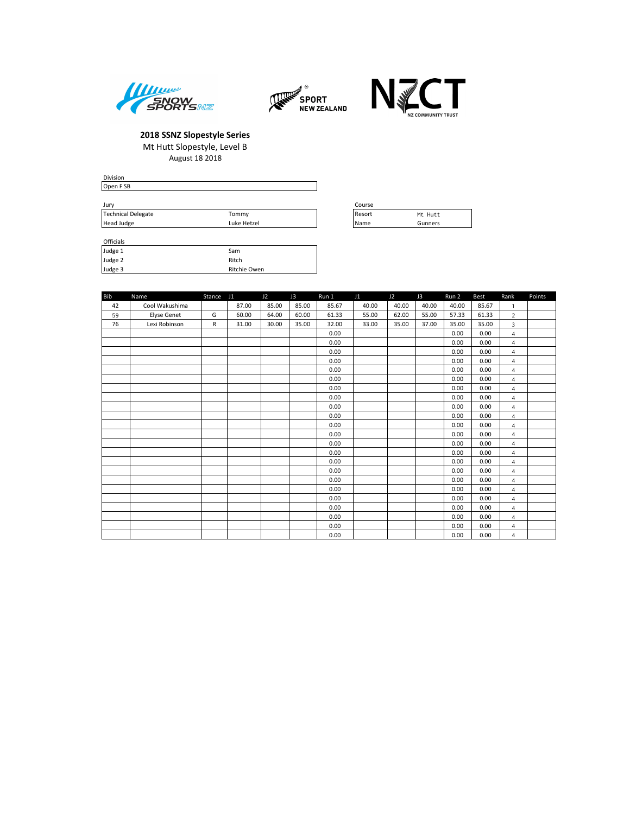





| <b>Division</b>    |             |        |         |
|--------------------|-------------|--------|---------|
| Open FSB           |             |        |         |
|                    |             |        |         |
| Jury               |             | Course |         |
| Technical Delegate | Tommy       | Resort | Mt Hutt |
| Head Judge         | Luke Hetzel | l Name | Gunners |

| Officials |              |
|-----------|--------------|
| Judge 1   | Sam          |
| Judge 2   | Ritch        |
| Judge 3   | Ritchie Owen |

| Course |           |
|--------|-----------|
| Resort | Mt. Hutt. |
| Name   | Gunners   |

| <b>Bib</b> | Name               | Stance J1 |       | J2    | J3    | Run 1 | J1    | J2    | J3    | Run 2 | <b>Best</b> | Rank           | Points |
|------------|--------------------|-----------|-------|-------|-------|-------|-------|-------|-------|-------|-------------|----------------|--------|
| 42         | Cool Wakushima     |           | 87.00 | 85.00 | 85.00 | 85.67 | 40.00 | 40.00 | 40.00 | 40.00 | 85.67       | $\mathbf{1}$   |        |
| 59         | <b>Elyse Genet</b> | G         | 60.00 | 64.00 | 60.00 | 61.33 | 55.00 | 62.00 | 55.00 | 57.33 | 61.33       | $\overline{2}$ |        |
| 76         | Lexi Robinson      | R         | 31.00 | 30.00 | 35.00 | 32.00 | 33.00 | 35.00 | 37.00 | 35.00 | 35.00       | 3              |        |
|            |                    |           |       |       |       | 0.00  |       |       |       | 0.00  | 0.00        | $\overline{4}$ |        |
|            |                    |           |       |       |       | 0.00  |       |       |       | 0.00  | 0.00        | $\overline{4}$ |        |
|            |                    |           |       |       |       | 0.00  |       |       |       | 0.00  | 0.00        | $\overline{4}$ |        |
|            |                    |           |       |       |       | 0.00  |       |       |       | 0.00  | 0.00        | $\overline{4}$ |        |
|            |                    |           |       |       |       | 0.00  |       |       |       | 0.00  | 0.00        | 4              |        |
|            |                    |           |       |       |       | 0.00  |       |       |       | 0.00  | 0.00        | $\overline{4}$ |        |
|            |                    |           |       |       |       | 0.00  |       |       |       | 0.00  | 0.00        | $\overline{4}$ |        |
|            |                    |           |       |       |       | 0.00  |       |       |       | 0.00  | 0.00        | $\overline{4}$ |        |
|            |                    |           |       |       |       | 0.00  |       |       |       | 0.00  | 0.00        | $\overline{4}$ |        |
|            |                    |           |       |       |       | 0.00  |       |       |       | 0.00  | 0.00        | $\overline{4}$ |        |
|            |                    |           |       |       |       | 0.00  |       |       |       | 0.00  | 0.00        | $\overline{4}$ |        |
|            |                    |           |       |       |       | 0.00  |       |       |       | 0.00  | 0.00        | 4              |        |
|            |                    |           |       |       |       | 0.00  |       |       |       | 0.00  | 0.00        | $\overline{4}$ |        |
|            |                    |           |       |       |       | 0.00  |       |       |       | 0.00  | 0.00        | $\overline{4}$ |        |
|            |                    |           |       |       |       | 0.00  |       |       |       | 0.00  | 0.00        | $\overline{4}$ |        |
|            |                    |           |       |       |       | 0.00  |       |       |       | 0.00  | 0.00        | $\overline{4}$ |        |
|            |                    |           |       |       |       | 0.00  |       |       |       | 0.00  | 0.00        | $\overline{4}$ |        |
|            |                    |           |       |       |       | 0.00  |       |       |       | 0.00  | 0.00        | $\overline{4}$ |        |
|            |                    |           |       |       |       | 0.00  |       |       |       | 0.00  | 0.00        | $\overline{4}$ |        |
|            |                    |           |       |       |       | 0.00  |       |       |       | 0.00  | 0.00        | $\overline{4}$ |        |
|            |                    |           |       |       |       | 0.00  |       |       |       | 0.00  | 0.00        | $\overline{4}$ |        |
|            |                    |           |       |       |       | 0.00  |       |       |       | 0.00  | 0.00        | $\overline{4}$ |        |
|            |                    |           |       |       |       | 0.00  |       |       |       | 0.00  | 0.00        | $\overline{4}$ |        |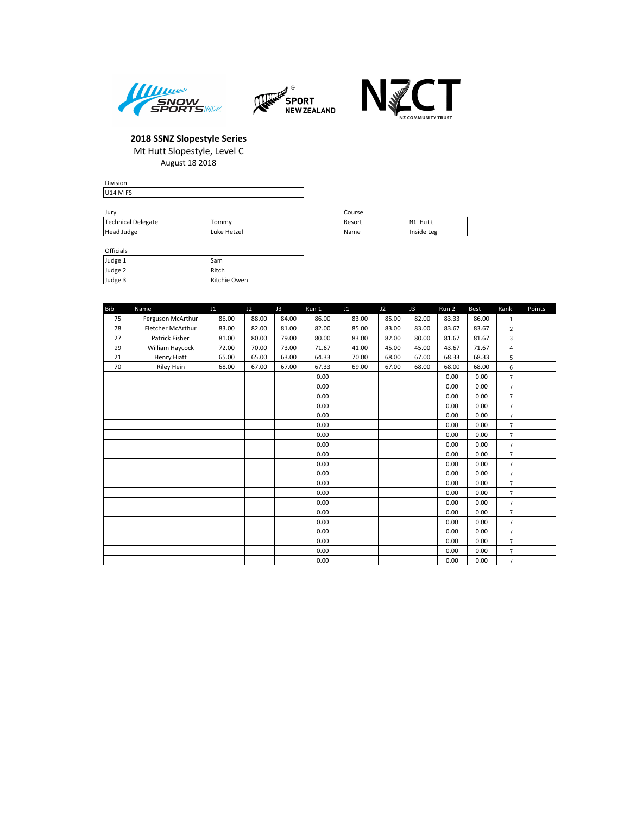





| <b>Division</b>                 |             |          |
|---------------------------------|-------------|----------|
| U <sub>14</sub> M <sub>FS</sub> |             |          |
|                                 |             |          |
| Jury                            |             | Course   |
| Technical Delegate              | Tommy       | l Resort |
| Head Judge                      | Luke Hetzel | l Name   |

| Course      |            |
|-------------|------------|
| Resort      | Mt Hutt    |
| <i>Name</i> | Inside Leg |

### Officials

Head Judge

| Judge 1 | Sam          |
|---------|--------------|
| Judge 2 | Ritch        |
| Judge 3 | Ritchie Owen |

| <b>Bib</b> | Name              | J1    | J2    | J3    | Run 1 | J <sub>1</sub> | J2    | J3    | Run 2 | <b>Best</b> | Rank           | Points |
|------------|-------------------|-------|-------|-------|-------|----------------|-------|-------|-------|-------------|----------------|--------|
| 75         | Ferguson McArthur | 86.00 | 88.00 | 84.00 | 86.00 | 83.00          | 85.00 | 82.00 | 83.33 | 86.00       | 1              |        |
| 78         | Fletcher McArthur | 83.00 | 82.00 | 81.00 | 82.00 | 85.00          | 83.00 | 83.00 | 83.67 | 83.67       | $\overline{2}$ |        |
| 27         | Patrick Fisher    | 81.00 | 80.00 | 79.00 | 80.00 | 83.00          | 82.00 | 80.00 | 81.67 | 81.67       | 3              |        |
| 29         | William Haycock   | 72.00 | 70.00 | 73.00 | 71.67 | 41.00          | 45.00 | 45.00 | 43.67 | 71.67       | $\overline{4}$ |        |
| 21         | Henry Hiatt       | 65.00 | 65.00 | 63.00 | 64.33 | 70.00          | 68.00 | 67.00 | 68.33 | 68.33       | 5              |        |
| 70         | <b>Riley Hein</b> | 68.00 | 67.00 | 67.00 | 67.33 | 69.00          | 67.00 | 68.00 | 68.00 | 68.00       | 6              |        |
|            |                   |       |       |       | 0.00  |                |       |       | 0.00  | 0.00        | $\overline{7}$ |        |
|            |                   |       |       |       | 0.00  |                |       |       | 0.00  | 0.00        | $\overline{7}$ |        |
|            |                   |       |       |       | 0.00  |                |       |       | 0.00  | 0.00        | $\overline{7}$ |        |
|            |                   |       |       |       | 0.00  |                |       |       | 0.00  | 0.00        | $\overline{7}$ |        |
|            |                   |       |       |       | 0.00  |                |       |       | 0.00  | 0.00        | $\overline{7}$ |        |
|            |                   |       |       |       | 0.00  |                |       |       | 0.00  | 0.00        | $\overline{7}$ |        |
|            |                   |       |       |       | 0.00  |                |       |       | 0.00  | 0.00        | $\overline{7}$ |        |
|            |                   |       |       |       | 0.00  |                |       |       | 0.00  | 0.00        | $\overline{7}$ |        |
|            |                   |       |       |       | 0.00  |                |       |       | 0.00  | 0.00        | $\overline{7}$ |        |
|            |                   |       |       |       | 0.00  |                |       |       | 0.00  | 0.00        | $\overline{7}$ |        |
|            |                   |       |       |       | 0.00  |                |       |       | 0.00  | 0.00        | $\overline{7}$ |        |
|            |                   |       |       |       | 0.00  |                |       |       | 0.00  | 0.00        | $\overline{7}$ |        |
|            |                   |       |       |       | 0.00  |                |       |       | 0.00  | 0.00        | $\overline{7}$ |        |
|            |                   |       |       |       | 0.00  |                |       |       | 0.00  | 0.00        | $\overline{7}$ |        |
|            |                   |       |       |       | 0.00  |                |       |       | 0.00  | 0.00        | $\overline{7}$ |        |
|            |                   |       |       |       | 0.00  |                |       |       | 0.00  | 0.00        | $\overline{7}$ |        |
|            |                   |       |       |       | 0.00  |                |       |       | 0.00  | 0.00        | $\overline{7}$ |        |
|            |                   |       |       |       | 0.00  |                |       |       | 0.00  | 0.00        | $\overline{7}$ |        |
|            |                   |       |       |       | 0.00  |                |       |       | 0.00  | 0.00        | $\overline{7}$ |        |
|            |                   |       |       |       | 0.00  |                |       |       | 0.00  | 0.00        | $\overline{7}$ |        |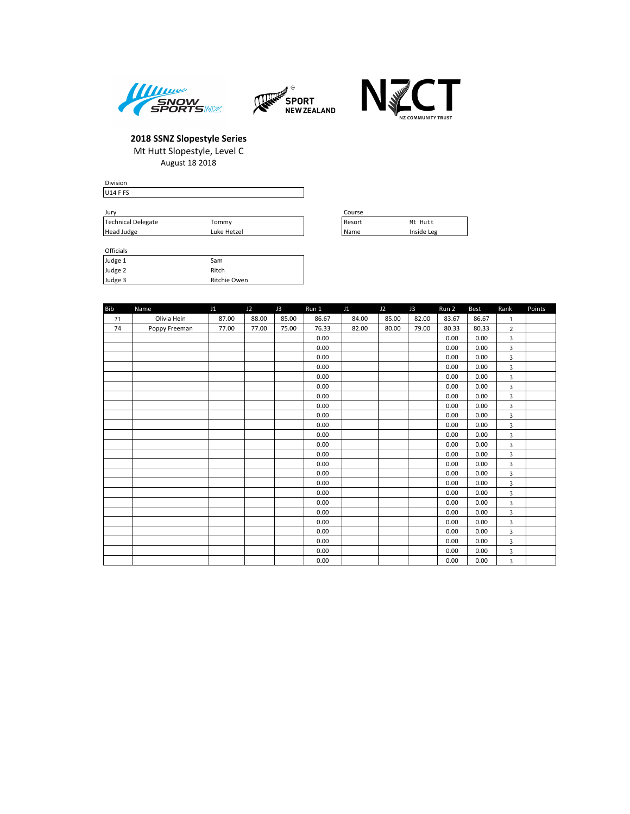





| Division        |  |  |
|-----------------|--|--|
| <b>U14 F FS</b> |  |  |
|                 |  |  |

| Jurv               | Course      |  |          |            |
|--------------------|-------------|--|----------|------------|
| Technical Delegate | Tommy       |  | l Resort | Mt Hutt    |
| Head Judge         | Luke Hetzel |  | l Name   | Inside Leg |

| Course |            |
|--------|------------|
| Resort | Mt Hutt    |
| Name   | Inside Leg |

### Officials

| Judge 1 | Sam          |
|---------|--------------|
| Judge 2 | Ritch        |
| Judge 3 | Ritchie Owen |

| <b>Bib</b> | Name          | J1    | J2    | J3    | Run 1 | J1    | J2    | J3    | Run 2 | <b>Best</b> | Rank           | Points |
|------------|---------------|-------|-------|-------|-------|-------|-------|-------|-------|-------------|----------------|--------|
| 71         | Olivia Hein   | 87.00 | 88.00 | 85.00 | 86.67 | 84.00 | 85.00 | 82.00 | 83.67 | 86.67       | $\mathbf{1}$   |        |
| 74         | Poppy Freeman | 77.00 | 77.00 | 75.00 | 76.33 | 82.00 | 80.00 | 79.00 | 80.33 | 80.33       | $\overline{2}$ |        |
|            |               |       |       |       | 0.00  |       |       |       | 0.00  | 0.00        | 3              |        |
|            |               |       |       |       | 0.00  |       |       |       | 0.00  | 0.00        | 3              |        |
|            |               |       |       |       | 0.00  |       |       |       | 0.00  | 0.00        | 3              |        |
|            |               |       |       |       | 0.00  |       |       |       | 0.00  | 0.00        | 3              |        |
|            |               |       |       |       | 0.00  |       |       |       | 0.00  | 0.00        | 3              |        |
|            |               |       |       |       | 0.00  |       |       |       | 0.00  | 0.00        | 3              |        |
|            |               |       |       |       | 0.00  |       |       |       | 0.00  | 0.00        | 3              |        |
|            |               |       |       |       | 0.00  |       |       |       | 0.00  | 0.00        | 3              |        |
|            |               |       |       |       | 0.00  |       |       |       | 0.00  | 0.00        | 3              |        |
|            |               |       |       |       | 0.00  |       |       |       | 0.00  | 0.00        | 3              |        |
|            |               |       |       |       | 0.00  |       |       |       | 0.00  | 0.00        | 3              |        |
|            |               |       |       |       | 0.00  |       |       |       | 0.00  | 0.00        | 3              |        |
|            |               |       |       |       | 0.00  |       |       |       | 0.00  | 0.00        | 3              |        |
|            |               |       |       |       | 0.00  |       |       |       | 0.00  | 0.00        | 3              |        |
|            |               |       |       |       | 0.00  |       |       |       | 0.00  | 0.00        | 3              |        |
|            |               |       |       |       | 0.00  |       |       |       | 0.00  | 0.00        | 3              |        |
|            |               |       |       |       | 0.00  |       |       |       | 0.00  | 0.00        | 3              |        |
|            |               |       |       |       | 0.00  |       |       |       | 0.00  | 0.00        | 3              |        |
|            |               |       |       |       | 0.00  |       |       |       | 0.00  | 0.00        | 3              |        |
|            |               |       |       |       | 0.00  |       |       |       | 0.00  | 0.00        | 3              |        |
|            |               |       |       |       | 0.00  |       |       |       | 0.00  | 0.00        | 3              |        |
|            |               |       |       |       | 0.00  |       |       |       | 0.00  | 0.00        | 3              |        |
|            |               |       |       |       | 0.00  |       |       |       | 0.00  | 0.00        | 3              |        |
|            |               |       |       |       | 0.00  |       |       |       | 0.00  | 0.00        | 3              |        |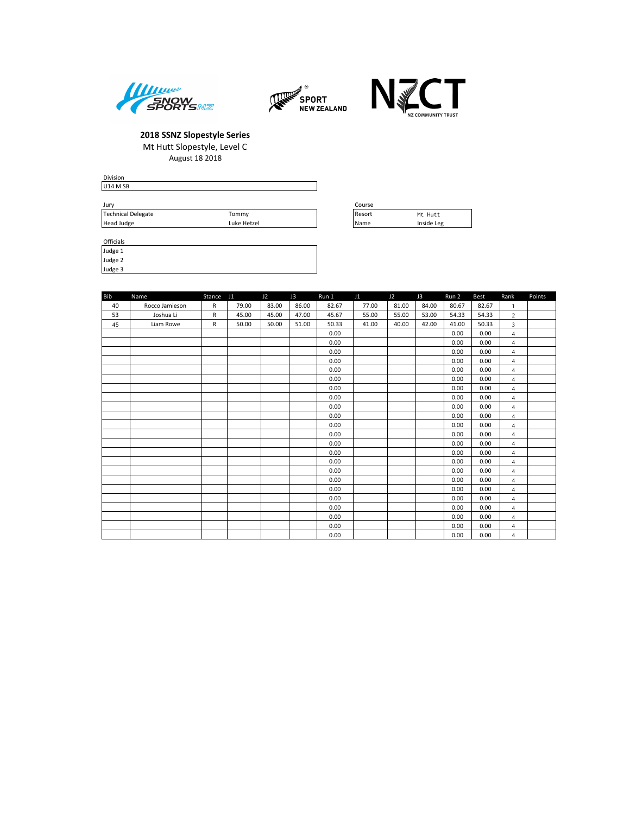





| Division                        |             |          |            |
|---------------------------------|-------------|----------|------------|
| U <sub>14</sub> M <sub>SB</sub> |             |          |            |
|                                 |             |          |            |
| Jury                            |             | Course   |            |
| Technical Delegate              | Tommy       | l Resort | Mt Hutt    |
| Head Judge                      | Luke Hetzel | l Name   | Inside Leg |

| Course      |            |
|-------------|------------|
| Resort      | Mt. Hutt.  |
| <b>Name</b> | Inside Leg |

| <b>Officials</b> |  |
|------------------|--|
| Judge 1          |  |
| شمامينا          |  |

Judge 2 Judge 3

| <b>Bib</b> | Name           | Stance       | J1    | J2    | J3    | Run 1 | J1    | J2    | J3    | Run 2 | Best  | Rank                    | Points |
|------------|----------------|--------------|-------|-------|-------|-------|-------|-------|-------|-------|-------|-------------------------|--------|
| 40         | Rocco Jamieson | $\mathsf{R}$ | 79.00 | 83.00 | 86.00 | 82.67 | 77.00 | 81.00 | 84.00 | 80.67 | 82.67 | $\mathbf{1}$            |        |
| 53         | Joshua Li      | $\mathsf{R}$ | 45.00 | 45.00 | 47.00 | 45.67 | 55.00 | 55.00 | 53.00 | 54.33 | 54.33 | $\overline{2}$          |        |
| 45         | Liam Rowe      | R            | 50.00 | 50.00 | 51.00 | 50.33 | 41.00 | 40.00 | 42.00 | 41.00 | 50.33 | $\overline{\mathbf{3}}$ |        |
|            |                |              |       |       |       | 0.00  |       |       |       | 0.00  | 0.00  | $\overline{4}$          |        |
|            |                |              |       |       |       | 0.00  |       |       |       | 0.00  | 0.00  | $\overline{4}$          |        |
|            |                |              |       |       |       | 0.00  |       |       |       | 0.00  | 0.00  | $\overline{4}$          |        |
|            |                |              |       |       |       | 0.00  |       |       |       | 0.00  | 0.00  | $\overline{4}$          |        |
|            |                |              |       |       |       | 0.00  |       |       |       | 0.00  | 0.00  | $\overline{4}$          |        |
|            |                |              |       |       |       | 0.00  |       |       |       | 0.00  | 0.00  | $\overline{4}$          |        |
|            |                |              |       |       |       | 0.00  |       |       |       | 0.00  | 0.00  | $\overline{4}$          |        |
|            |                |              |       |       |       | 0.00  |       |       |       | 0.00  | 0.00  | $\overline{4}$          |        |
|            |                |              |       |       |       | 0.00  |       |       |       | 0.00  | 0.00  | $\overline{4}$          |        |
|            |                |              |       |       |       | 0.00  |       |       |       | 0.00  | 0.00  | $\overline{4}$          |        |
|            |                |              |       |       |       | 0.00  |       |       |       | 0.00  | 0.00  | $\overline{4}$          |        |
|            |                |              |       |       |       | 0.00  |       |       |       | 0.00  | 0.00  | $\overline{4}$          |        |
|            |                |              |       |       |       | 0.00  |       |       |       | 0.00  | 0.00  | $\overline{4}$          |        |
|            |                |              |       |       |       | 0.00  |       |       |       | 0.00  | 0.00  | $\overline{4}$          |        |
|            |                |              |       |       |       | 0.00  |       |       |       | 0.00  | 0.00  | $\overline{4}$          |        |
|            |                |              |       |       |       | 0.00  |       |       |       | 0.00  | 0.00  | $\overline{4}$          |        |
|            |                |              |       |       |       | 0.00  |       |       |       | 0.00  | 0.00  | $\overline{4}$          |        |
|            |                |              |       |       |       | 0.00  |       |       |       | 0.00  | 0.00  | $\overline{4}$          |        |
|            |                |              |       |       |       | 0.00  |       |       |       | 0.00  | 0.00  | $\overline{4}$          |        |
|            |                |              |       |       |       | 0.00  |       |       |       | 0.00  | 0.00  | $\overline{4}$          |        |
|            |                |              |       |       |       | 0.00  |       |       |       | 0.00  | 0.00  | $\overline{4}$          |        |
|            |                |              |       |       |       | 0.00  |       |       |       | 0.00  | 0.00  | 4                       |        |
|            |                |              |       |       |       | 0.00  |       |       |       | 0.00  | 0.00  | $\overline{4}$          |        |